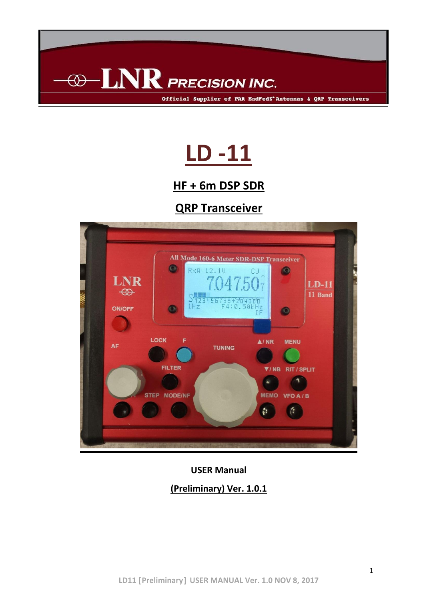

# **LD -11**

## **HF + 6m DSP SDR**

## **QRP Transceiver**



## **USER Manual (Preliminary) Ver. 1.0.1**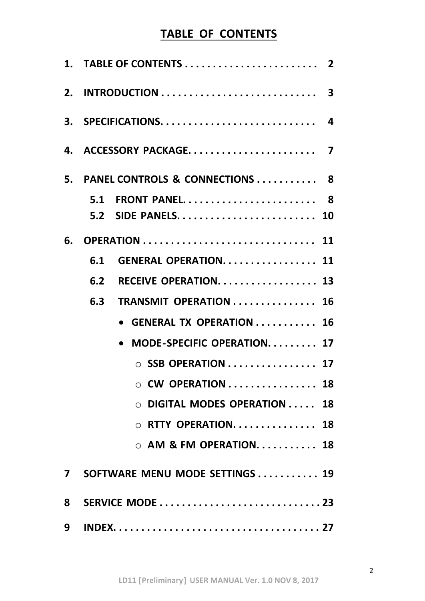## **TABLE OF CONTENTS**

|              | 3. SPECIFICATIONS 4                                          |
|--------------|--------------------------------------------------------------|
|              |                                                              |
|              | 5. PANEL CONTROLS & CONNECTIONS  8                           |
|              | 5.1 FRONT PANEL 8                                            |
|              |                                                              |
| 6.           |                                                              |
|              | <b>GENERAL OPERATION 11</b><br>6.1                           |
|              | RECEIVE OPERATION 13<br>6.2                                  |
|              | TRANSMIT OPERATION  16<br>6.3                                |
|              | • GENERAL TX OPERATION  16                                   |
|              | MODE-SPECIFIC OPERATION 17                                   |
|              | $\circ$ SSB OPERATION 17                                     |
|              | $\circ$ CW OPERATION $\ldots \ldots \ldots \ldots \ldots$ 18 |
|              | DIGITAL MODES OPERATION<br>18                                |
|              | $\circ$ RTTY OPERATION 18                                    |
|              | $\circ$ AM & FM OPERATION 18                                 |
| $\mathbf{7}$ | SOFTWARE MENU MODE SETTINGS  19                              |
| 8            | SERVICE MODE 23                                              |
| 9            |                                                              |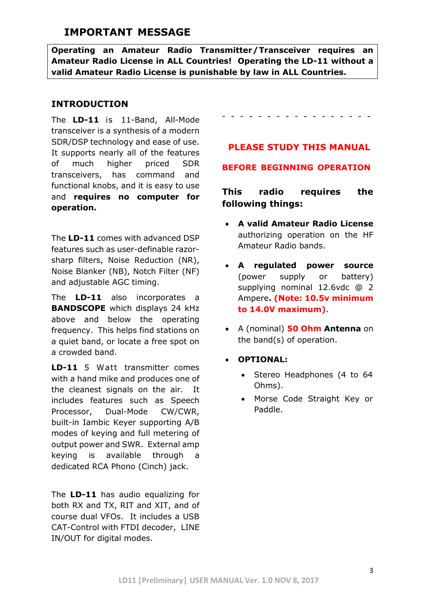## **IMPORTANT MESSAGE**

**Operating an Amateur Radio Transmitter/Transceiver requires an Amateur Radio License in ALL Countries! Operating the LD-11 without a valid Amateur Radio License is punishable by law in ALL Countries.**

### **INTRODUCTION**

The **LD-11** is 11-Band, All-Mode transceiver is a synthesis of a modern SDR/DSP technology and ease of use. It supports nearly all of the features of much higher priced SDR transceivers, has command and functional knobs, and it is easy to use and **requires no computer for operation.** 

The **LD-11** comes with advanced DSP features such as user-definable razorsharp filters, Noise Reduction (NR), Noise Blanker (NB), Notch Filter (NF) and adjustable AGC timing.

The **LD-11** also incorporates a **BANDSCOPE** which displays 24 kHz above and below the operating frequency. This helps find stations on a quiet band, or locate a free spot on a crowded band.

**LD-11** 5 Watt transmitter comes with a hand mike and produces one of the cleanest signals on the air. It includes features such as Speech Processor, Dual-Mode CW/CWR, built-in Iambic Keyer supporting A/B modes of keying and full metering of output power and SWR. External amp keying is available through a dedicated RCA Phono (Cinch) jack.

The **LD-11** has audio equalizing for both RX and TX, RIT and XIT, and of course dual VFOs. It includes a USB CAT-Control with FTDI decoder, LINE IN/OUT for digital modes.

## - - - - - - - - - - - - - - - - -

#### **PLEASE STUDY THIS MANUAL**

#### **BEFORE BEGINNING OPERATION**

### **This radio requires the following things:**

- **A valid Amateur Radio License** authorizing operation on the HF Amateur Radio bands.
- **A regulated power source** (power supply or battery) supplying nominal 12.6vdc @ 2 Ampere**. (Note: 10.5v minimum to 14.0V maximum)**.
- A (nominal) **50 Ohm Antenna** on the band(s) of operation.
- **OPTIONAL:**
	- Stereo Headphones (4 to 64 Ohms).
	- Morse Code Straight Key or Paddle.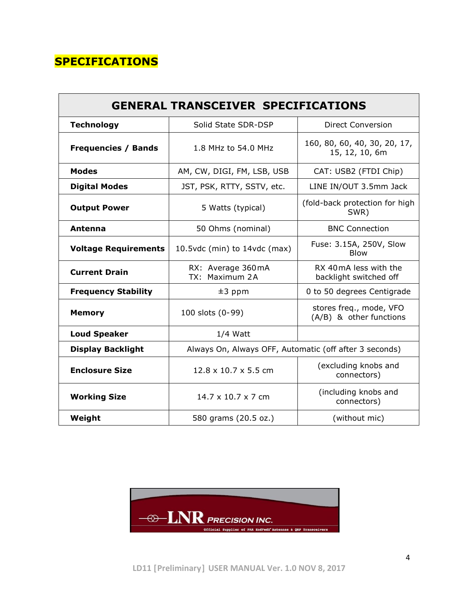## **SPECIFICATIONS**

| <b>GENERAL TRANSCEIVER SPECIFICATIONS</b> |                                                        |                                                    |  |  |  |
|-------------------------------------------|--------------------------------------------------------|----------------------------------------------------|--|--|--|
| <b>Technology</b>                         | Solid State SDR-DSP                                    | <b>Direct Conversion</b>                           |  |  |  |
| <b>Frequencies / Bands</b>                | 1.8 MHz to 54.0 MHz                                    | 160, 80, 60, 40, 30, 20, 17,<br>15, 12, 10, 6m     |  |  |  |
| <b>Modes</b>                              | AM, CW, DIGI, FM, LSB, USB                             | CAT: USB2 (FTDI Chip)                              |  |  |  |
| <b>Digital Modes</b>                      | JST, PSK, RTTY, SSTV, etc.                             | LINE IN/OUT 3.5mm Jack                             |  |  |  |
| <b>Output Power</b>                       | 5 Watts (typical)                                      | (fold-back protection for high<br>SWR)             |  |  |  |
| Antenna                                   | 50 Ohms (nominal)                                      | <b>BNC Connection</b>                              |  |  |  |
| <b>Voltage Requirements</b>               | 10.5vdc (min) to 14vdc (max)                           | Fuse: 3.15A, 250V, Slow<br><b>Blow</b>             |  |  |  |
| <b>Current Drain</b>                      | RX: Average 360 mA<br>TX: Maximum 2A                   | RX 40 mA less with the<br>backlight switched off   |  |  |  |
| <b>Frequency Stability</b>                | $±3$ ppm                                               | 0 to 50 degrees Centigrade                         |  |  |  |
| <b>Memory</b>                             | 100 slots (0-99)                                       | stores freq., mode, VFO<br>(A/B) & other functions |  |  |  |
| <b>Loud Speaker</b>                       | $1/4$ Watt                                             |                                                    |  |  |  |
| <b>Display Backlight</b>                  | Always On, Always OFF, Automatic (off after 3 seconds) |                                                    |  |  |  |
| <b>Enclosure Size</b>                     | $12.8 \times 10.7 \times 5.5$ cm                       | (excluding knobs and<br>connectors)                |  |  |  |
| <b>Working Size</b>                       | $14.7 \times 10.7 \times 7$ cm                         | (including knobs and<br>connectors)                |  |  |  |
| Weight                                    | 580 grams (20.5 oz.)                                   | (without mic)                                      |  |  |  |

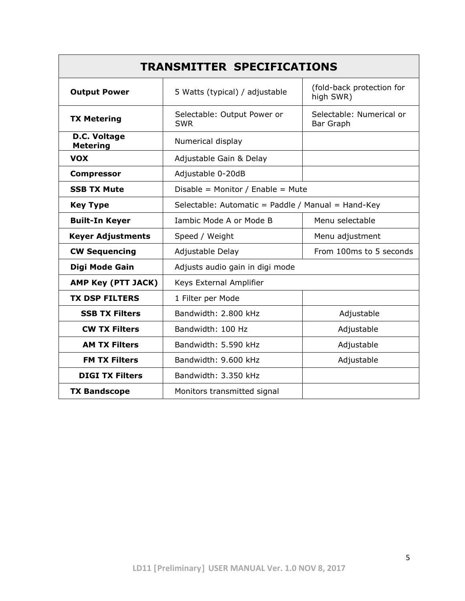| <b>TRANSMITTER SPECIFICATIONS</b>                  |                                                    |                                        |  |  |  |
|----------------------------------------------------|----------------------------------------------------|----------------------------------------|--|--|--|
| <b>Output Power</b>                                | 5 Watts (typical) / adjustable                     | (fold-back protection for<br>high SWR) |  |  |  |
| <b>TX Metering</b>                                 | Selectable: Output Power or<br><b>SWR</b>          | Selectable: Numerical or<br>Bar Graph  |  |  |  |
| D.C. Voltage<br><b>Metering</b>                    | Numerical display                                  |                                        |  |  |  |
| <b>VOX</b>                                         | Adjustable Gain & Delay                            |                                        |  |  |  |
| <b>Compressor</b>                                  | Adjustable 0-20dB                                  |                                        |  |  |  |
| <b>SSB TX Mute</b>                                 | Disable = Monitor / Enable = Mute                  |                                        |  |  |  |
| <b>Key Type</b>                                    | Selectable: Automatic = Paddle / Manual = Hand-Key |                                        |  |  |  |
| <b>Built-In Keyer</b>                              | Iambic Mode A or Mode B                            | Menu selectable                        |  |  |  |
| <b>Keyer Adjustments</b>                           | Speed / Weight                                     | Menu adjustment                        |  |  |  |
| <b>CW Sequencing</b><br>Adjustable Delay           |                                                    | From 100ms to 5 seconds                |  |  |  |
| Digi Mode Gain                                     | Adjusts audio gain in digi mode                    |                                        |  |  |  |
| AMP Key (PTT JACK)                                 | Keys External Amplifier                            |                                        |  |  |  |
| <b>TX DSP FILTERS</b>                              | 1 Filter per Mode                                  |                                        |  |  |  |
| <b>SSB TX Filters</b>                              | Bandwidth: 2.800 kHz                               | Adjustable                             |  |  |  |
| <b>CW TX Filters</b>                               | Bandwidth: 100 Hz                                  | Adjustable                             |  |  |  |
| <b>AM TX Filters</b>                               | Bandwidth: 5.590 kHz                               | Adjustable                             |  |  |  |
| <b>FM TX Filters</b>                               | Bandwidth: 9.600 kHz                               | Adjustable                             |  |  |  |
| <b>DIGI TX Filters</b>                             | Bandwidth: 3.350 kHz                               |                                        |  |  |  |
| <b>TX Bandscope</b><br>Monitors transmitted signal |                                                    |                                        |  |  |  |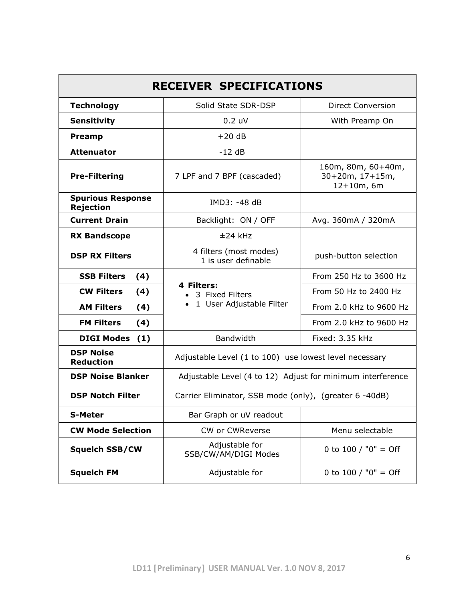| <b>RECEIVER SPECIFICATIONS</b>               |                                                            |                                                         |  |  |  |
|----------------------------------------------|------------------------------------------------------------|---------------------------------------------------------|--|--|--|
| <b>Technology</b>                            | Solid State SDR-DSP                                        | <b>Direct Conversion</b>                                |  |  |  |
| <b>Sensitivity</b>                           | 0.2 uV                                                     | With Preamp On                                          |  |  |  |
| <b>Preamp</b>                                | $+20 dB$                                                   |                                                         |  |  |  |
| <b>Attenuator</b>                            | $-12 dB$                                                   |                                                         |  |  |  |
| <b>Pre-Filtering</b>                         | 7 LPF and 7 BPF (cascaded)                                 | 160m, 80m, 60+40m,<br>$30+20m, 17+15m,$<br>$12+10m, 6m$ |  |  |  |
| <b>Spurious Response</b><br><b>Rejection</b> | IMD3: -48 dB                                               |                                                         |  |  |  |
| <b>Current Drain</b>                         | Backlight: ON / OFF                                        | Avg. 360mA / 320mA                                      |  |  |  |
| <b>RX Bandscope</b>                          | $±24$ kHz                                                  |                                                         |  |  |  |
| <b>DSP RX Filters</b>                        | 4 filters (most modes)<br>1 is user definable              | push-button selection                                   |  |  |  |
| <b>SSB Filters</b><br>(4)                    |                                                            | From 250 Hz to 3600 Hz                                  |  |  |  |
| <b>CW Filters</b><br>(4)                     | 4 Filters:<br>3 Fixed Filters                              | From 50 Hz to 2400 Hz                                   |  |  |  |
| <b>AM Filters</b><br>(4)                     | • 1 User Adjustable Filter                                 | From 2.0 kHz to 9600 Hz                                 |  |  |  |
| <b>FM Filters</b><br>(4)                     |                                                            | From 2.0 kHz to 9600 Hz                                 |  |  |  |
| <b>DIGI Modes</b><br>(1)                     | Bandwidth                                                  | Fixed: 3.35 kHz                                         |  |  |  |
| <b>DSP Noise</b><br><b>Reduction</b>         | Adjustable Level (1 to 100) use lowest level necessary     |                                                         |  |  |  |
| <b>DSP Noise Blanker</b>                     | Adjustable Level (4 to 12) Adjust for minimum interference |                                                         |  |  |  |
| <b>DSP Notch Filter</b>                      | Carrier Eliminator, SSB mode (only), (greater 6 -40dB)     |                                                         |  |  |  |
| <b>S-Meter</b>                               | Bar Graph or uV readout                                    |                                                         |  |  |  |
| <b>CW Mode Selection</b>                     | CW or CWReverse                                            | Menu selectable                                         |  |  |  |
| <b>Squelch SSB/CW</b>                        | Adjustable for<br>SSB/CW/AM/DIGI Modes                     | 0 to 100 / "0" = Off                                    |  |  |  |
| <b>Squelch FM</b>                            | Adjustable for                                             | 0 to 100 / "0" = Off                                    |  |  |  |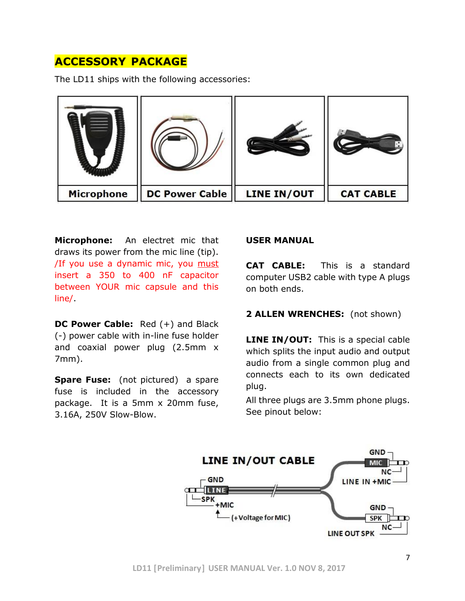## **ACCESSORY PACKAGE**

The LD11 ships with the following accessories:



**Microphone:** An electret mic that draws its power from the mic line (tip). /If you use a dynamic mic, you must insert a 350 to 400 nF capacitor between YOUR mic capsule and this line/.

**DC Power Cable:** Red (+) and Black (-) power cable with in-line fuse holder and coaxial power plug (2.5mm x 7mm).

**Spare Fuse:** (not pictured) a spare fuse is included in the accessory package. It is a 5mm x 20mm fuse, 3.16A, 250V Slow-Blow.

#### **USER MANUAL**

**CAT CABLE:** This is a standard computer USB2 cable with type A plugs on both ends.

#### **2 ALLEN WRENCHES:** (not shown)

**LINE IN/OUT:** This is a special cable which splits the input audio and output audio from a single common plug and connects each to its own dedicated plug.

All three plugs are 3.5mm phone plugs. See pinout below:

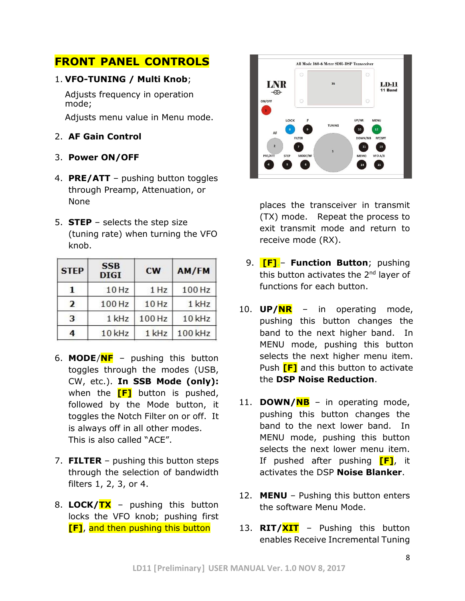## **FRONT PANEL CONTROLS**

#### 1. **VFO-TUNING / Multi Knob**;

Adjusts frequency in operation mode;

Adjusts menu value in Menu mode.

#### 2. **AF Gain Control**

- 3. **Power ON/OFF**
- 4. **PRE/ATT** pushing button toggles through Preamp, Attenuation, or None
- 5. **STEP** selects the step size (tuning rate) when turning the VFO knob.

| <b>STEP</b>    | <b>SSB</b><br><b>DIGI</b> | <b>CW</b> | AM/FM   |
|----------------|---------------------------|-----------|---------|
| 1              | 10 Hz                     | 1 Hz      | 100 Hz  |
| $\overline{2}$ | 100 Hz                    | 10 Hz     | 1 kHz   |
| 3              | 1 kHz                     | 100 Hz    | 10 kHz  |
| 4              | 10 kHz                    | 1 kHz     | 100 kHz |

- 6. **MODE**/**NF** pushing this button toggles through the modes (USB, CW, etc.). **In SSB Mode (only):** when the **[F]** button is pushed, followed by the Mode button, it toggles the Notch Filter on or off. It is always off in all other modes. This is also called "ACE".
- 7. **FILTER** pushing this button steps through the selection of bandwidth filters 1, 2, 3, or 4.
- 8. **LOCK/TX** pushing this button locks the VFO knob; pushing first **[F]**, and then pushing this button



places the transceiver in transmit (TX) mode. Repeat the process to exit transmit mode and return to receive mode (RX).

- 9. **[F]**.– **Function Button**; pushing this button activates the  $2<sup>nd</sup>$  laver of functions for each button.
- 10. **UP/NR** in operating mode, pushing this button changes the band to the next higher band. In MENU mode, pushing this button selects the next higher menu item. Push **[F]** and this button to activate the **DSP Noise Reduction**.
- 11. **DOWN/NB** in operating mode, pushing this button changes the band to the next lower band. In MENU mode, pushing this button selects the next lower menu item. If pushed after pushing **[F]**, it activates the DSP **Noise Blanker**.
- 12. **MENU** Pushing this button enters the software Menu Mode.
- 13. **RIT/XIT** Pushing this button enables Receive Incremental Tuning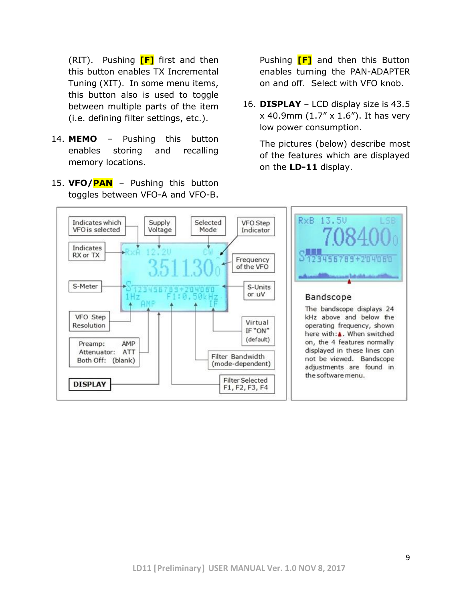(RIT). Pushing **[F]** first and then this button enables TX Incremental Tuning (XIT). In some menu items, this button also is used to toggle between multiple parts of the item (i.e. defining filter settings, etc.).

- 14. **MEMO** Pushing this button enables storing and recalling memory locations.
- 15. **VFO/PAN** Pushing this button toggles between VFO-A and VFO-B.

Pushing **[F]** and then this Button enables turning the PAN-ADAPTER on and off. Select with VFO knob.

16. **DISPLAY** – LCD display size is 43.5 x 40.9mm (1.7" x 1.6"). It has very low power consumption.

The pictures (below) describe most of the features which are displayed on the **LD-11** display.

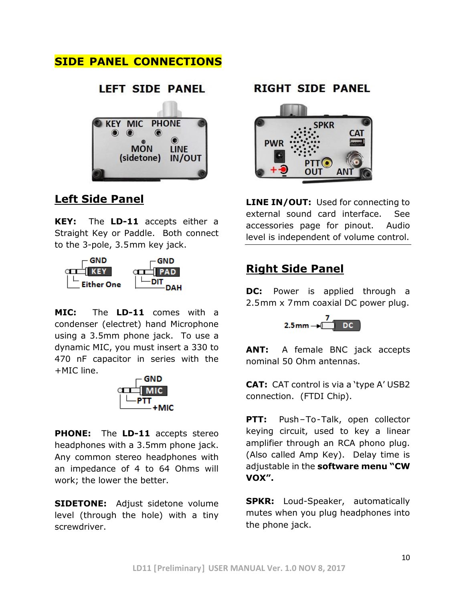## **SIDE PANEL CONNECTIONS**



## **Left Side Panel**

**KEY:** The **LD-11** accepts either a Straight Key or Paddle. Both connect to the 3-pole, 3.5mm key jack.



**MIC:** The **LD-11** comes with a condenser (electret) hand Microphone using a 3.5mm phone jack. To use a dynamic MIC, you must insert a 330 to 470 nF capacitor in series with the +MIC line.



**PHONE:** The **LD-11** accepts stereo headphones with a 3.5mm phone jack. Any common stereo headphones with an impedance of 4 to 64 Ohms will work; the lower the better.

**SIDETONE:** Adjust sidetone volume level (through the hole) with a tiny screwdriver.

### **RIGHT SIDE PANEL**



**LINE IN/OUT:** Used for connecting to external sound card interface. See accessories page for pinout. Audio level is independent of volume control.

## **Right Side Panel**

**DC:** Power is applied through a 2.5mm x 7mm coaxial DC power plug.



**ANT:** A female BNC jack accepts nominal 50 Ohm antennas.

**CAT:** CAT control is via a 'type A' USB2 connection. (FTDI Chip).

**PTT:** Push-To-Talk, open collector keying circuit, used to key a linear amplifier through an RCA phono plug. (Also called Amp Key). Delay time is adjustable in the **software menu "CW VOX".**

**SPKR:** Loud-Speaker, automatically mutes when you plug headphones into the phone jack.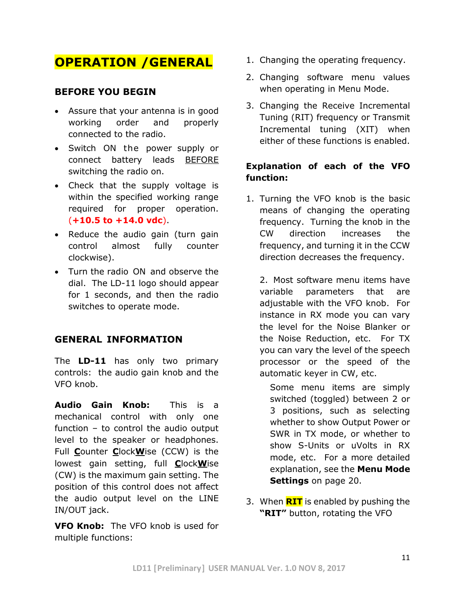## **OPERATION /GENERAL**

#### **BEFORE YOU BEGIN**

- Assure that your antenna is in good working order and properly connected to the radio.
- Switch ON the power supply or connect battery leads BEFORE switching the radio on.
- Check that the supply voltage is within the specified working range required for proper operation. (**+10.5 to +14.0 vdc**).
- Reduce the audio gain (turn gain control almost fully counter clockwise).
- Turn the radio ON and observe the dial. The LD-11 logo should appear for 1 seconds, and then the radio switches to operate mode.

#### **GENERAL INFORMATION**

The **LD-11** has only two primary controls: the audio gain knob and the VFO knob.

**Audio Gain Knob:** This is a mechanical control with only one function – to control the audio output level to the speaker or headphones. Full **C**ounter **C**lock**W**ise (CCW) is the lowest gain setting, full **C**lock**W**ise (CW) is the maximum gain setting. The position of this control does not affect the audio output level on the LINE IN/OUT jack.

**VFO Knob:** The VFO knob is used for multiple functions:

- 1. Changing the operating frequency.
- 2. Changing software menu values when operating in Menu Mode.
- 3. Changing the Receive Incremental Tuning (RIT) frequency or Transmit Incremental tuning (XIT) when either of these functions is enabled.

#### **Explanation of each of the VFO function:**

1. Turning the VFO knob is the basic means of changing the operating frequency. Turning the knob in the CW direction increases the frequency, and turning it in the CCW direction decreases the frequency.

2. Most software menu items have variable parameters that are adjustable with the VFO knob. For instance in RX mode you can vary the level for the Noise Blanker or the Noise Reduction, etc. For TX you can vary the level of the speech processor or the speed of the automatic keyer in CW, etc.

Some menu items are simply switched (toggled) between 2 or 3 positions, such as selecting whether to show Output Power or SWR in TX mode, or whether to show S-Units or uVolts in RX mode, etc. For a more detailed explanation, see the **Menu Mode Settings** on page 20.

3. When **RIT** is enabled by pushing the **"RIT"** button, rotating the VFO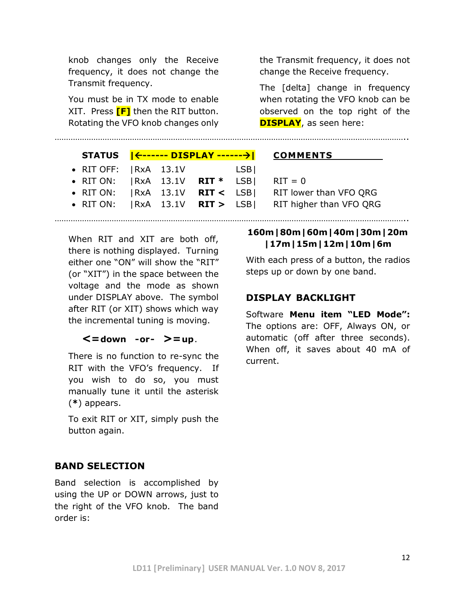knob changes only the Receive frequency, it does not change the Transmit frequency.

You must be in TX mode to enable XIT. Press **[F]** then the RIT button. Rotating the VFO knob changes only

| the Transmit frequency, it does not |
|-------------------------------------|
| change the Receive frequency.       |

The [delta] change in frequency when rotating the VFO knob can be observed on the top right of the **DISPLAY**, as seen here:

|                                              |  |     | STATUS   <------ DISPLAY ------->  COMMENTS                  |
|----------------------------------------------|--|-----|--------------------------------------------------------------|
| $\bullet$ RIT OFF: $ RxA$ 13.1V              |  | LSB |                                                              |
| • RIT ON: $ RxA \t13.1V \tRT^* LSB $ RIT = 0 |  |     |                                                              |
|                                              |  |     | • RIT ON: $ RxA \t13.1V \tRT < LSB $ RIT lower than VFO QRG  |
|                                              |  |     | • RIT ON: $ RxA \t13.1V \tRT > LSB $ RIT higher than VFO QRG |
|                                              |  |     |                                                              |

………………………………………………………………………………………………………………………………………..

When RIT and XIT are both off, there is nothing displayed. Turning either one "ON" will show the "RIT" (or "XIT") in the space between the voltage and the mode as shown under DISPLAY above. The symbol after RIT (or XIT) shows which way the incremental tuning is moving.

#### **<=down -or- >=up**.

There is no function to re-sync the RIT with the VFO's frequency. If you wish to do so, you must manually tune it until the asterisk (**\***) appears.

To exit RIT or XIT, simply push the button again.

## **BAND SELECTION**

Band selection is accomplished by using the UP or DOWN arrows, just to the right of the VFO knob. The band order is:

#### **160m|80m|60m|40m|30m|20m |17m|15m|12m|10m|6m**

With each press of a button, the radios steps up or down by one band.

#### **DISPLAY BACKLIGHT**

Software **Menu item "LED Mode":** The options are: OFF, Always ON, or automatic (off after three seconds). When off, it saves about 40 mA of current.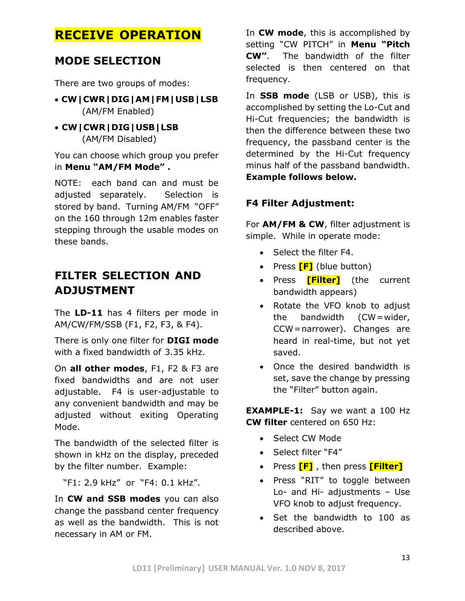## **RECEIVE OPERATION**

## **MODE SELECTION**

There are two groups of modes:

- **CW|CWR|DIG|AM|FM|USB|LSB** (AM/FM Enabled)
- **CW|CWR|DIG|USB|LSB** (AM/FM Disabled)

You can choose which group you prefer in **Menu "AM/FM Mode" .**

NOTE: each band can and must be adjusted separately. Selection is stored by band. Turning AM/FM "OFF" on the 160 through 12m enables faster stepping through the usable modes on these bands.

## **FILTER SELECTION AND ADJUSTMENT**

The **LD-11** has 4 filters per mode in AM/CW/FM/SSB (F1, F2, F3, & F4).

There is only one filter for **DIGI mode** with a fixed bandwidth of 3.35 kHz.

On **all other modes**, F1, F2 & F3 are fixed bandwidths and are not user adjustable. F4 is user-adjustable to any convenient bandwidth and may be adjusted without exiting Operating Mode.

The bandwidth of the selected filter is shown in kHz on the display, preceded by the filter number. Example:

"F1: 2.9 kHz" or "F4: 0.1 kHz".

In **CW and SSB modes** you can also change the passband center frequency as well as the bandwidth. This is not necessary in AM or FM.

In **CW mode**, this is accomplished by setting "CW PITCH" in **Menu "Pitch CW"**. The bandwidth of the filter selected is then centered on that frequency.

In **SSB mode** (LSB or USB), this is accomplished by setting the Lo-Cut and Hi-Cut frequencies; the bandwidth is then the difference between these two frequency, the passband center is the determined by the Hi-Cut frequency minus half of the passband bandwidth. **Example follows below.**

### **F4 Filter Adjustment:**

For **AM/FM & CW**, filter adjustment is simple. While in operate mode:

- Select the filter F4.
- Press **[F]** (blue button)
- Press **[Filter]** (the current bandwidth appears)
- Rotate the VFO knob to adjust the bandwidth (CW=wider, CCW=narrower). Changes are heard in real-time, but not yet saved.
- Once the desired bandwidth is set, save the change by pressing the "Filter" button again.

**EXAMPLE-1:** Say we want a 100 Hz **CW filter** centered on 650 Hz:

- Select CW Mode
- Select filter "F4"
- Press **[F]** , then press **[Filter]**
- Press "RIT" to toggle between Lo- and Hi- adjustments – Use VFO knob to adjust frequency.
- Set the bandwidth to 100 as described above.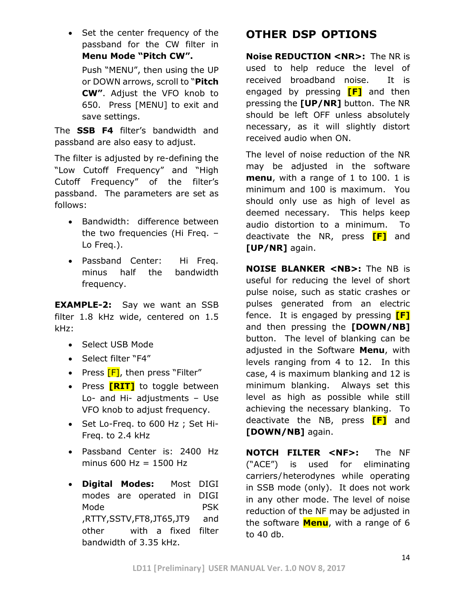• Set the center frequency of the passband for the CW filter in **Menu Mode "Pitch CW".**  Push "MENU", then using the UP or DOWN arrows, scroll to "**Pitch CW"**. Adjust the VFO knob to 650. Press [MENU] to exit and save settings.

The **SSB F4** filter's bandwidth and passband are also easy to adjust.

The filter is adjusted by re-defining the "Low Cutoff Frequency" and "High Cutoff Frequency" of the filter's passband. The parameters are set as follows:

- Bandwidth: difference between the two frequencies (Hi Freq. – Lo Freq.).
- Passband Center: Hi Freq. minus half the bandwidth frequency.

**EXAMPLE-2:** Say we want an SSB filter 1.8 kHz wide, centered on 1.5 kHz:

- Select USB Mode
- Select filter "F4"
- Press **[F]**, then press "Filter"
- Press **[RIT]** to toggle between Lo- and Hi- adjustments – Use VFO knob to adjust frequency.
- Set Lo-Freq. to 600 Hz ; Set Hi-Freq. to 2.4 kHz
- Passband Center is: 2400 Hz minus  $600$  Hz = 1500 Hz
- **Digital Modes:** Most DIGI modes are operated in DIGI Mode **PSK** ,RTTY,SSTV,FT8,JT65,JT9 and other with a fixed filter bandwidth of 3.35 kHz.

## **OTHER DSP OPTIONS**

**Noise REDUCTION <NR>:** The NR is used to help reduce the level of received broadband noise. It is engaged by pressing **[F]** and then pressing the **[UP/NR]** button. The NR should be left OFF unless absolutely necessary, as it will slightly distort received audio when ON.

The level of noise reduction of the NR may be adjusted in the software **menu**, with a range of 1 to 100. 1 is minimum and 100 is maximum. You should only use as high of level as deemed necessary. This helps keep audio distortion to a minimum. To deactivate the NR, press **[F]** and **[UP/NR]** again.

**NOISE BLANKER <NB>:** The NB is useful for reducing the level of short pulse noise, such as static crashes or pulses generated from an electric fence. It is engaged by pressing **[F]** and then pressing the **[DOWN/NB]** button. The level of blanking can be adjusted in the Software **Menu**, with levels ranging from 4 to 12. In this case, 4 is maximum blanking and 12 is minimum blanking. Always set this level as high as possible while still achieving the necessary blanking. To deactivate the NB, press **[F]** and **[DOWN/NB]** again.

**NOTCH FILTER <NF>:** The NF ("ACE") is used for eliminating carriers/heterodynes while operating in SSB mode (only). It does not work in any other mode. The level of noise reduction of the NF may be adjusted in the software **Menu**, with a range of 6 to 40 db.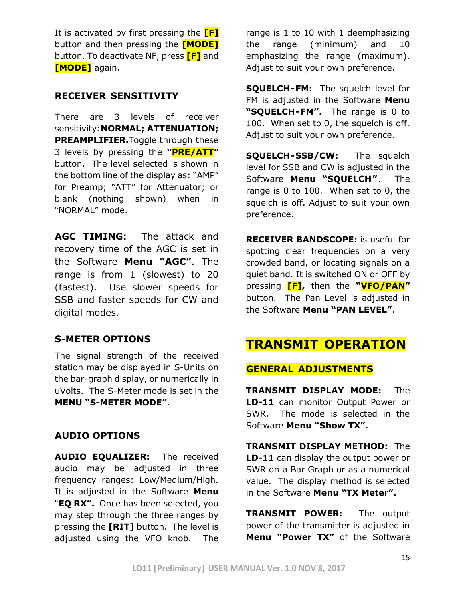It is activated by first pressing the **[F]** button and then pressing the **[MODE]** button. To deactivate NF, press **[F]** and **[MODE]** again.

#### **RECEIVER SENSITIVITY**

There are 3 levels of receiver sensitivity:**NORMAL; ATTENUATION; PREAMPLIFIER.**Toggle through these 3 levels by pressing the **"PRE/ATT"** button. The level selected is shown in the bottom line of the display as: "AMP" for Preamp; "ATT" for Attenuator; or blank (nothing shown) when in "NORMAL" mode.

**AGC TIMING:** The attack and recovery time of the AGC is set in the Software **Menu "AGC"**. The range is from 1 (slowest) to 20 (fastest). Use slower speeds for SSB and faster speeds for CW and digital modes.

### **S-METER OPTIONS**

The signal strength of the received station may be displayed in S-Units on the bar-graph display, or numerically in uVolts. The S-Meter mode is set in the **MENU "S-METER MODE"**.

### **AUDIO OPTIONS**

**AUDIO EQUALIZER:** The received audio may be adjusted in three frequency ranges: Low/Medium/High. It is adjusted in the Software **Menu**  "**EQ RX".** Once has been selected, you may step through the three ranges by pressing the **[RIT]** button. The level is adjusted using the VFO knob. The

range is 1 to 10 with 1 deemphasizing the range (minimum) and 10 emphasizing the range (maximum). Adjust to suit your own preference.

**SQUELCH-FM:** The squelch level for FM is adjusted in the Software **Menu "SQUELCH-FM"**. The range is 0 to 100. When set to 0, the squelch is off. Adjust to suit your own preference.

**SQUELCH-SSB/CW:** The squelch level for SSB and CW is adjusted in the Software **Menu "SQUELCH"**. The range is 0 to 100. When set to 0, the squelch is off. Adjust to suit your own preference.

**RECEIVER BANDSCOPE:** is useful for spotting clear frequencies on a very crowded band, or locating signals on a quiet band. It is switched ON or OFF by pressing **[F],** then the **"VFO/PAN"** button. The Pan Level is adjusted in the Software **Menu "PAN LEVEL"**.

## **TRANSMIT OPERATION**

#### **GENERAL ADJUSTMENTS**

**TRANSMIT DISPLAY MODE:** The **LD-11** can monitor Output Power or SWR. The mode is selected in the Software **Menu "Show TX".**

**TRANSMIT DISPLAY METHOD:** The **LD-11** can display the output power or SWR on a Bar Graph or as a numerical value. The display method is selected in the Software **Menu "TX Meter".**

**TRANSMIT POWER:** The output power of the transmitter is adjusted in **Menu "Power TX"** of the Software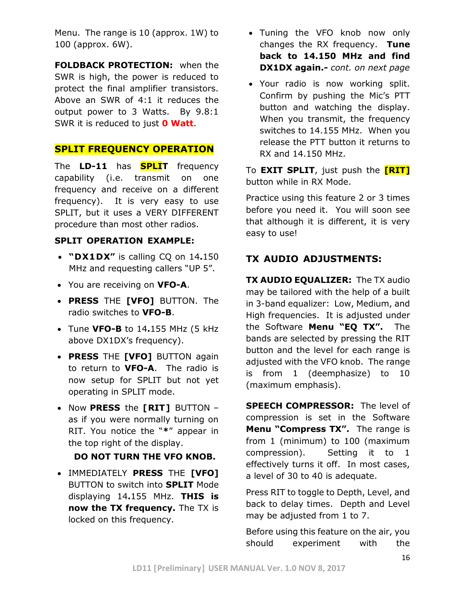Menu. The range is 10 (approx. 1W) to 100 (approx. 6W).

**FOLDBACK PROTECTION:** when the SWR is high, the power is reduced to protect the final amplifier transistors. Above an SWR of 4:1 it reduces the output power to 3 Watts. By 9.8:1 SWR it is reduced to just **0 Watt**.

#### **SPLIT FREQUENCY OPERATION**

The **LD-11** has **SPLIT** frequency capability (i.e. transmit on one frequency and receive on a different frequency). It is very easy to use SPLIT, but it uses a VERY DIFFERENT procedure than most other radios.

#### **SPLIT OPERATION EXAMPLE:**

- **"DX1DX"** is calling CQ on 14**.**150 MHz and requesting callers "UP 5".
- You are receiving on **VFO-A**.
- **PRESS** THE **[VFO]** BUTTON. The radio switches to **VFO-B**.
- Tune **VFO-B** to 14**.**155 MHz (5 kHz above DX1DX's frequency).
- **PRESS** THE **[VFO]** BUTTON again to return to **VFO-A**. The radio is now setup for SPLIT but not yet operating in SPLIT mode.
- Now **PRESS** the **[RIT]** BUTTON as if you were normally turning on RIT. You notice the "**\***" appear in the top right of the display.

#### **DO NOT TURN THE VFO KNOB.**

• IMMEDIATELY **PRESS** THE **[VFO]** BUTTON to switch into **SPLIT** Mode displaying 14**.**155 MHz. **THIS is now the TX frequency.** The TX is locked on this frequency.

- Tuning the VFO knob now only changes the RX frequency. **Tune back to 14.150 MHz and find DX1DX again.-** *cont. on next page*
- Your radio is now working split. Confirm by pushing the Mic's PTT button and watching the display. When you transmit, the frequency switches to 14.155 MHz. When you release the PTT button it returns to RX and 14.150 MHz.

To **EXIT SPLIT**, just push the **[RIT]** button while in RX Mode.

Practice using this feature 2 or 3 times before you need it. You will soon see that although it is different, it is very easy to use!

### **TX AUDIO ADJUSTMENTS:**

**TX AUDIO EQUALIZER:** The TX audio may be tailored with the help of a built in 3-band equalizer: Low, Medium, and High frequencies. It is adjusted under the Software **Menu "EQ TX".** The bands are selected by pressing the RIT button and the level for each range is adjusted with the VFO knob. The range is from 1 (deemphasize) to 10 (maximum emphasis).

**SPEECH COMPRESSOR:** The level of compression is set in the Software **Menu "Compress TX".** The range is from 1 (minimum) to 100 (maximum compression). Setting it to 1 effectively turns it off. In most cases, a level of 30 to 40 is adequate.

Press RIT to toggle to Depth, Level, and back to delay times. Depth and Level may be adjusted from 1 to 7.

Before using this feature on the air, you should experiment with the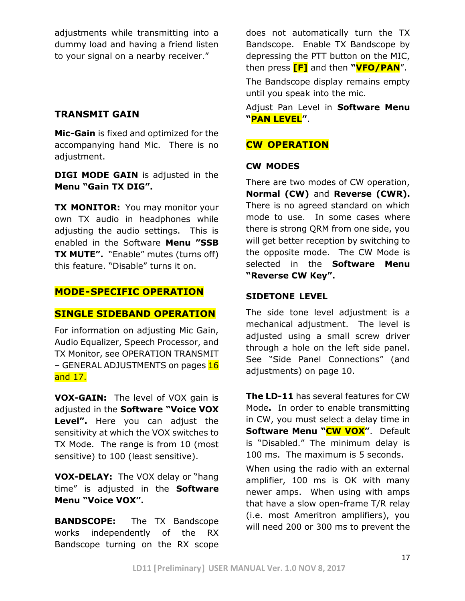adjustments while transmitting into a dummy load and having a friend listen to your signal on a nearby receiver."

#### **TRANSMIT GAIN**

**Mic-Gain** is fixed and optimized for the accompanying hand Mic. There is no adjustment.

**DIGI MODE GAIN** is adjusted in the **Menu "Gain TX DIG".**

**TX MONITOR:** You may monitor your own TX audio in headphones while adjusting the audio settings. This is enabled in the Software **Menu "SSB TX MUTE".** "Enable" mutes (turns off) this feature. "Disable" turns it on.

#### **MODE-SPECIFIC OPERATION**

#### **SINGLE SIDEBAND OPERATION**

For information on adjusting Mic Gain, Audio Equalizer, Speech Processor, and TX Monitor, see OPERATION TRANSMIT – GENERAL ADJUSTMENTS on pages 16 and 17.

**VOX-GAIN:** The level of VOX gain is adjusted in the **Software "Voice VOX Level".** Here you can adjust the sensitivity at which the VOX switches to TX Mode. The range is from 10 (most sensitive) to 100 (least sensitive).

**VOX-DELAY:** The VOX delay or "hang time" is adjusted in the **Software Menu "Voice VOX".**

**BANDSCOPE:** The TX Bandscope works independently of the RX Bandscope turning on the RX scope

does not automatically turn the TX Bandscope. Enable TX Bandscope by depressing the PTT button on the MIC, then press **[F]** and then **"VFO/PAN**".

The Bandscope display remains empty until you speak into the mic.

Adjust Pan Level in **Software Menu "PAN LEVEL"**.

#### **CW OPERATION**

#### **CW MODES**

There are two modes of CW operation, **Normal (CW)** and **Reverse (CWR).** There is no agreed standard on which mode to use. In some cases where there is strong QRM from one side, you will get better reception by switching to the opposite mode. The CW Mode is selected in the **Software Menu "Reverse CW Key".**

#### **SIDETONE LEVEL**

The side tone level adjustment is a mechanical adjustment. The level is adjusted using a small screw driver through a hole on the left side panel. See "Side Panel Connections" (and adjustments) on page 10.

**The LD-11** has several features for CW Mode**.** In order to enable transmitting in CW, you must select a delay time in **Software Menu "CW VOX"**. Default is "Disabled." The minimum delay is 100 ms. The maximum is 5 seconds.

When using the radio with an external amplifier, 100 ms is OK with many newer amps. When using with amps that have a slow open-frame T/R relay (i.e. most Ameritron amplifiers), you will need 200 or 300 ms to prevent the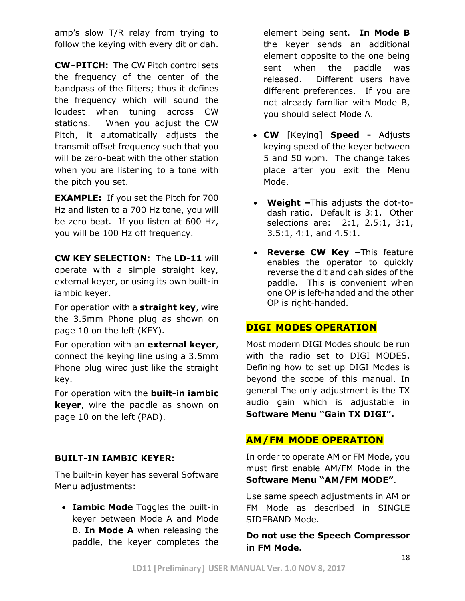amp's slow T/R relay from trying to follow the keying with every dit or dah.

**CW-PITCH:** The CW Pitch control sets the frequency of the center of the bandpass of the filters; thus it defines the frequency which will sound the loudest when tuning across CW stations. When you adjust the CW Pitch, it automatically adjusts the transmit offset frequency such that you will be zero-beat with the other station when you are listening to a tone with the pitch you set.

**EXAMPLE:** If you set the Pitch for 700 Hz and listen to a 700 Hz tone, you will be zero beat. If you listen at 600 Hz, you will be 100 Hz off frequency.

**CW KEY SELECTION:** The **LD-11** will operate with a simple straight key, external keyer, or using its own built-in iambic keyer.

For operation with a **straight key**, wire the 3.5mm Phone plug as shown on page 10 on the left (KEY).

For operation with an **external keyer**, connect the keying line using a 3.5mm Phone plug wired just like the straight key.

For operation with the **built-in iambic keyer**, wire the paddle as shown on page 10 on the left (PAD).

#### **BUILT-IN IAMBIC KEYER:**

The built-in keyer has several Software Menu adjustments:

• **Iambic Mode** Toggles the built-in keyer between Mode A and Mode B. **In Mode A** when releasing the paddle, the keyer completes the element being sent. **In Mode B** the keyer sends an additional element opposite to the one being sent when the paddle was released. Different users have different preferences. If you are not already familiar with Mode B, you should select Mode A.

- **CW** [Keying] **Speed -** Adjusts keying speed of the keyer between 5 and 50 wpm. The change takes place after you exit the Menu Mode.
- **Weight –**This adjusts the dot-todash ratio. Default is 3:1. Other selections are: 2:1, 2.5:1, 3:1, 3.5:1, 4:1, and 4.5:1.
- **Reverse CW Key –**This feature enables the operator to quickly reverse the dit and dah sides of the paddle. This is convenient when one OP is left-handed and the other OP is right-handed.

#### **DIGI MODES OPERATION**

Most modern DIGI Modes should be run with the radio set to DIGI MODES. Defining how to set up DIGI Modes is beyond the scope of this manual. In general The only adjustment is the TX audio gain which is adjustable in **Software Menu "Gain TX DIGI".**

#### **AM/FM MODE OPERATION**

In order to operate AM or FM Mode, you must first enable AM/FM Mode in the **Software Menu "AM/FM MODE"**.

Use same speech adjustments in AM or FM Mode as described in SINGLE SIDEBAND Mode.

#### **Do not use the Speech Compressor in FM Mode.**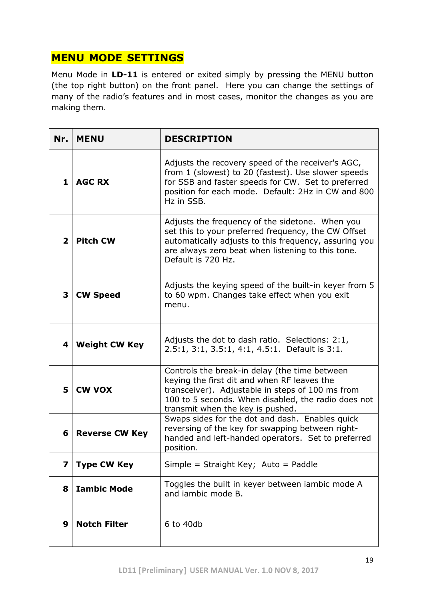## **MENU MODE SETTINGS**

Menu Mode in **LD-11** is entered or exited simply by pressing the MENU button (the top right button) on the front panel. Here you can change the settings of many of the radio's features and in most cases, monitor the changes as you are making them.

| Nr.            | <b>MENU</b>                                                                                                                                                                                                                                                   | <b>DESCRIPTION</b>                                                                                                                                                                                                                 |  |  |  |
|----------------|---------------------------------------------------------------------------------------------------------------------------------------------------------------------------------------------------------------------------------------------------------------|------------------------------------------------------------------------------------------------------------------------------------------------------------------------------------------------------------------------------------|--|--|--|
| 1              | <b>AGC RX</b>                                                                                                                                                                                                                                                 | Adjusts the recovery speed of the receiver's AGC,<br>from 1 (slowest) to 20 (fastest). Use slower speeds<br>for SSB and faster speeds for CW. Set to preferred<br>position for each mode. Default: 2Hz in CW and 800<br>Hz in SSB. |  |  |  |
| $\overline{2}$ | Adjusts the frequency of the sidetone. When you<br>set this to your preferred frequency, the CW Offset<br><b>Pitch CW</b><br>automatically adjusts to this frequency, assuring you<br>are always zero beat when listening to this tone.<br>Default is 720 Hz. |                                                                                                                                                                                                                                    |  |  |  |
| 3              | <b>CW Speed</b>                                                                                                                                                                                                                                               | Adjusts the keying speed of the built-in keyer from 5<br>to 60 wpm. Changes take effect when you exit<br>menu.                                                                                                                     |  |  |  |
| 4              | <b>Weight CW Key</b>                                                                                                                                                                                                                                          | Adjusts the dot to dash ratio. Selections: 2:1,<br>2.5:1, 3:1, 3.5:1, 4:1, 4.5:1. Default is 3:1.                                                                                                                                  |  |  |  |
| 5              | Controls the break-in delay (the time between<br>keying the first dit and when RF leaves the<br><b>CW VOX</b><br>transceiver). Adjustable in steps of 100 ms from<br>100 to 5 seconds. When disabled, the radio does not<br>transmit when the key is pushed.  |                                                                                                                                                                                                                                    |  |  |  |
| 6              | Swaps sides for the dot and dash. Enables quick<br>reversing of the key for swapping between right-<br><b>Reverse CW Key</b><br>handed and left-handed operators. Set to preferred<br>position.                                                               |                                                                                                                                                                                                                                    |  |  |  |
| 7              | <b>Type CW Key</b>                                                                                                                                                                                                                                            | Simple = Straight Key; Auto = Paddle                                                                                                                                                                                               |  |  |  |
| 8              | Toggles the built in keyer between iambic mode A<br><b>Iambic Mode</b><br>and jambic mode B.                                                                                                                                                                  |                                                                                                                                                                                                                                    |  |  |  |
| 9              | <b>Notch Filter</b>                                                                                                                                                                                                                                           | 6 to 40db                                                                                                                                                                                                                          |  |  |  |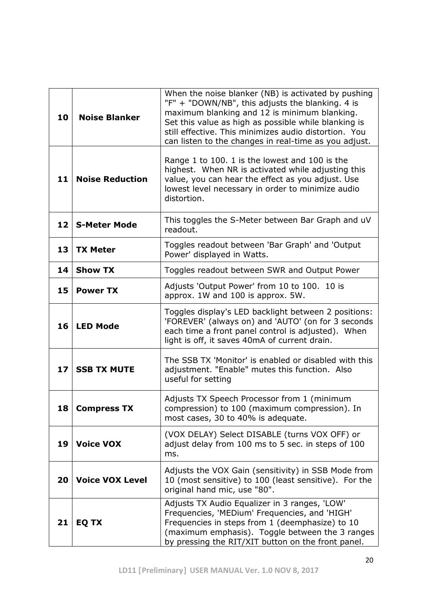| 10                                             | <b>Noise Blanker</b>                                                                                                                                             | When the noise blanker (NB) is activated by pushing<br>"F" + "DOWN/NB", this adjusts the blanking. 4 is<br>maximum blanking and 12 is minimum blanking.<br>Set this value as high as possible while blanking is<br>still effective. This minimizes audio distortion. You<br>can listen to the changes in real-time as you adjust. |  |  |  |
|------------------------------------------------|------------------------------------------------------------------------------------------------------------------------------------------------------------------|-----------------------------------------------------------------------------------------------------------------------------------------------------------------------------------------------------------------------------------------------------------------------------------------------------------------------------------|--|--|--|
| 11                                             | <b>Noise Reduction</b>                                                                                                                                           | Range 1 to 100. 1 is the lowest and 100 is the<br>highest. When NR is activated while adjusting this<br>value, you can hear the effect as you adjust. Use<br>lowest level necessary in order to minimize audio<br>distortion.                                                                                                     |  |  |  |
| 12                                             | <b>S-Meter Mode</b>                                                                                                                                              | This toggles the S-Meter between Bar Graph and uV<br>readout.                                                                                                                                                                                                                                                                     |  |  |  |
| 13                                             | <b>TX Meter</b>                                                                                                                                                  | Toggles readout between 'Bar Graph' and 'Output<br>Power' displayed in Watts.                                                                                                                                                                                                                                                     |  |  |  |
| 14                                             | <b>Show TX</b><br>Toggles readout between SWR and Output Power                                                                                                   |                                                                                                                                                                                                                                                                                                                                   |  |  |  |
| 15                                             | <b>Power TX</b>                                                                                                                                                  | Adjusts 'Output Power' from 10 to 100. 10 is<br>approx. 1W and 100 is approx. 5W.                                                                                                                                                                                                                                                 |  |  |  |
| 16                                             | <b>LED Mode</b>                                                                                                                                                  | Toggles display's LED backlight between 2 positions:<br>'FOREVER' (always on) and 'AUTO' (on for 3 seconds<br>each time a front panel control is adjusted). When<br>light is off, it saves 40mA of current drain.                                                                                                                 |  |  |  |
| 17<br><b>SSB TX MUTE</b><br>useful for setting |                                                                                                                                                                  | The SSB TX 'Monitor' is enabled or disabled with this<br>adjustment. "Enable" mutes this function. Also                                                                                                                                                                                                                           |  |  |  |
|                                                | Adjusts TX Speech Processor from 1 (minimum<br>compression) to 100 (maximum compression). In<br>18  <br><b>Compress IX</b><br>most cases, 30 to 40% is adequate. |                                                                                                                                                                                                                                                                                                                                   |  |  |  |
| 19                                             | <b>Voice VOX</b>                                                                                                                                                 | (VOX DELAY) Select DISABLE (turns VOX OFF) or<br>adjust delay from 100 ms to 5 sec. in steps of 100<br>ms.                                                                                                                                                                                                                        |  |  |  |
| 20                                             | <b>Voice VOX Level</b>                                                                                                                                           | Adjusts the VOX Gain (sensitivity) in SSB Mode from<br>10 (most sensitive) to 100 (least sensitive). For the<br>original hand mic, use "80".                                                                                                                                                                                      |  |  |  |
| 21                                             | EQ TX                                                                                                                                                            | Adjusts TX Audio Equalizer in 3 ranges, 'LOW'<br>Frequencies, 'MEDium' Frequencies, and 'HIGH'<br>Frequencies in steps from 1 (deemphasize) to 10<br>(maximum emphasis). Toggle between the 3 ranges<br>by pressing the RIT/XIT button on the front panel.                                                                        |  |  |  |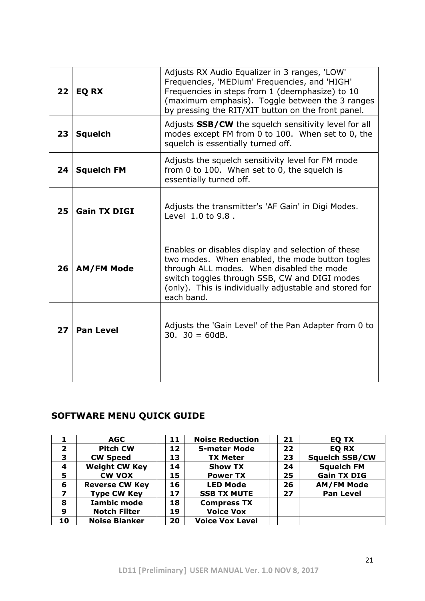| 22 | <b>EQ RX</b>                                                                                                                                                                                                                                                                                     | Adjusts RX Audio Equalizer in 3 ranges, 'LOW'<br>Frequencies, 'MEDium' Frequencies, and 'HIGH'<br>Frequencies in steps from 1 (deemphasize) to 10<br>(maximum emphasis). Toggle between the 3 ranges<br>by pressing the RIT/XIT button on the front panel. |  |  |  |
|----|--------------------------------------------------------------------------------------------------------------------------------------------------------------------------------------------------------------------------------------------------------------------------------------------------|------------------------------------------------------------------------------------------------------------------------------------------------------------------------------------------------------------------------------------------------------------|--|--|--|
| 23 | <b>Squelch</b>                                                                                                                                                                                                                                                                                   | Adjusts SSB/CW the squelch sensitivity level for all<br>modes except FM from 0 to 100. When set to 0, the<br>squelch is essentially turned off.                                                                                                            |  |  |  |
| 24 | <b>Squelch FM</b>                                                                                                                                                                                                                                                                                | Adjusts the squelch sensitivity level for FM mode<br>from 0 to 100. When set to 0, the squelch is<br>essentially turned off.                                                                                                                               |  |  |  |
| 25 | Adjusts the transmitter's 'AF Gain' in Digi Modes.<br><b>Gain TX DIGI</b><br>Level 1.0 to 9.8.                                                                                                                                                                                                   |                                                                                                                                                                                                                                                            |  |  |  |
| 26 | Enables or disables display and selection of these<br>two modes. When enabled, the mode button togles<br>through ALL modes. When disabled the mode<br><b>AM/FM Mode</b><br>switch toggles through SSB, CW and DIGI modes<br>(only). This is individually adjustable and stored for<br>each band. |                                                                                                                                                                                                                                                            |  |  |  |
| 27 | <b>Pan Level</b>                                                                                                                                                                                                                                                                                 | Adjusts the 'Gain Level' of the Pan Adapter from 0 to<br>$30.30 = 60dB.$                                                                                                                                                                                   |  |  |  |
|    |                                                                                                                                                                                                                                                                                                  |                                                                                                                                                                                                                                                            |  |  |  |

## **SOFTWARE MENU QUICK GUIDE**

|                         | <b>AGC</b>            | 11 | <b>Noise Reduction</b> | 21 | EQ TX                 |
|-------------------------|-----------------------|----|------------------------|----|-----------------------|
| $\overline{\mathbf{2}}$ | <b>Pitch CW</b>       | 12 | <b>S-meter Mode</b>    | 22 | <b>EQ RX</b>          |
| 3                       | <b>CW Speed</b>       | 13 | <b>TX Meter</b>        | 23 | <b>Squelch SSB/CW</b> |
| 4                       | <b>Weight CW Key</b>  | 14 | <b>Show TX</b>         | 24 | <b>Squelch FM</b>     |
| 5                       | <b>CW VOX</b>         | 15 | <b>Power TX</b>        | 25 | <b>Gain TX DIG</b>    |
| 6                       | <b>Reverse CW Key</b> | 16 | <b>LED Mode</b>        | 26 | <b>AM/FM Mode</b>     |
| $\boldsymbol{7}$        | <b>Type CW Key</b>    | 17 | <b>SSB TX MUTE</b>     | 27 | <b>Pan Level</b>      |
| 8                       | <b>Iambic mode</b>    | 18 | <b>Compress TX</b>     |    |                       |
| 9                       | <b>Notch Filter</b>   | 19 | <b>Voice Vox</b>       |    |                       |
| 10                      | <b>Noise Blanker</b>  | 20 | <b>Voice Vox Level</b> |    |                       |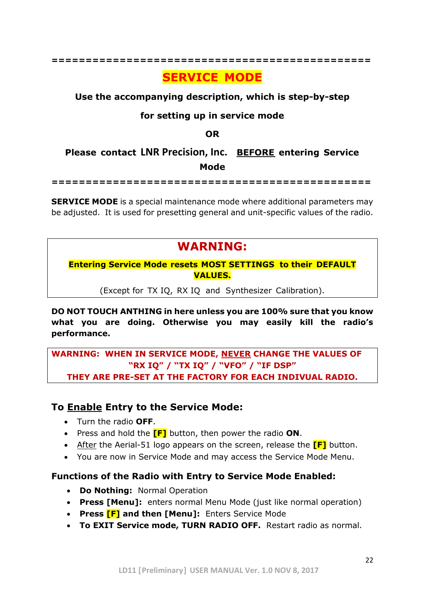#### **===============================================**

## **SERVICE MODE**

#### **Use the accompanying description, which is step-by-step**

### **for setting up in service mode**

**OR**

## **Please contact LNR Precision, Inc. BEFORE entering Service Mode**

**===============================================**

**SERVICE MODE** is a special maintenance mode where additional parameters may be adjusted. It is used for presetting general and unit-specific values of the radio.

## **WARNING:**

**Entering Service Mode resets MOST SETTINGS to their DEFAULT VALUES.**

(Except for TX IQ, RX IQ and Synthesizer Calibration).

**DO NOT TOUCH ANTHING in here unless you are 100% sure that you know what you are doing. Otherwise you may easily kill the radio's performance.**

**WARNING: WHEN IN SERVICE MODE, NEVER CHANGE THE VALUES OF "RX IQ" / "TX IQ" / "VFO" / "IF DSP" THEY ARE PRE-SET AT THE FACTORY FOR EACH INDIVUAL RADIO.**

### **To Enable Entry to the Service Mode:**

- Turn the radio **OFF**.
- Press and hold the **[F]** button, then power the radio **ON**.
- After the Aerial-51 logo appears on the screen, release the **[F]** button.
- You are now in Service Mode and may access the Service Mode Menu.

### **Functions of the Radio with Entry to Service Mode Enabled:**

- **Do Nothing:** Normal Operation
- **Press [Menu]:** enters normal Menu Mode (just like normal operation)
- **Press [F] and then [Menu]:** Enters Service Mode
- **To EXIT Service mode, TURN RADIO OFF.** Restart radio as normal.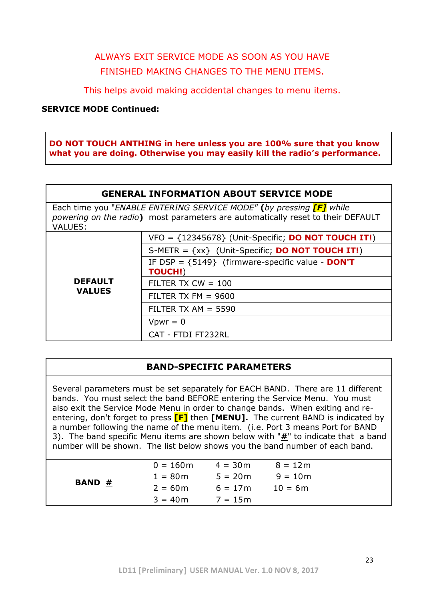## ALWAYS EXIT SERVICE MODE AS SOON AS YOU HAVE FINISHED MAKING CHANGES TO THE MENU ITEMS.

This helps avoid making accidental changes to menu items.

#### **SERVICE MODE Continued:**

**DO NOT TOUCH ANTHING in here unless you are 100% sure that you know what you are doing. Otherwise you may easily kill the radio's performance.**

Each time you "*ENABLE ENTERING SERVICE MODE"* **(***by pressing [F] while powering on the radio***)** most parameters are automatically reset to their DEFAULT VALUES:

|                                 | $VFO = {12345678}$ (Unit-Specific; <b>DO NOT TOUCH IT!</b> )         |
|---------------------------------|----------------------------------------------------------------------|
| <b>DEFAULT</b><br><b>VALUES</b> | S-METR = $\{xx\}$ (Unit-Specific; <b>DO NOT TOUCH IT!</b> )          |
|                                 | IF DSP = ${5149}$ (firmware-specific value - DON'T<br><b>TOUCH!)</b> |
|                                 | FILTER TX $CW = 100$                                                 |
|                                 | FILTER TX FM $= 9600$                                                |
|                                 | FILTER TX AM $=$ 5590                                                |
|                                 | $VDW = 0$                                                            |
|                                 | CAT - FTDI FT232RL                                                   |

### **BAND-SPECIFIC PARAMETERS**

Several parameters must be set separately for EACH BAND. There are 11 different bands. You must select the band BEFORE entering the Service Menu. You must also exit the Service Mode Menu in order to change bands. When exiting and reentering, don't forget to press **[F]** then **[MENU].** The current BAND is indicated by a number following the name of the menu item. (i.e. Port 3 means Port for BAND 3). The band specific Menu items are shown below with "**#**" to indicate that a band number will be shown. The list below shows you the band number of each band.

| <b>BAND #</b> | $0 = 160$ m | $4 = 30m$ | $8 = 12m$ |  |
|---------------|-------------|-----------|-----------|--|
|               | $1 = 80m$   | $5 = 20m$ | $9 = 10m$ |  |
|               | $2 = 60m$   | $6 = 17m$ | $10 = 6m$ |  |
|               | $3 = 40m$   | $7 = 15m$ |           |  |
|               |             |           |           |  |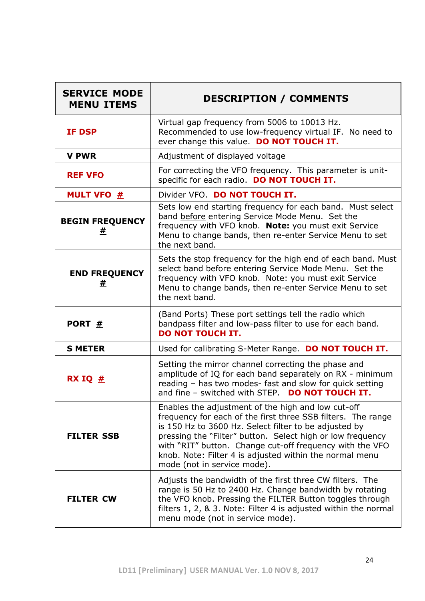| <b>SERVICE MODE</b><br><b>MENU ITEMS</b> | <b>DESCRIPTION / COMMENTS</b>                                                                                                                                                                                                                                                                                                                                                                   |
|------------------------------------------|-------------------------------------------------------------------------------------------------------------------------------------------------------------------------------------------------------------------------------------------------------------------------------------------------------------------------------------------------------------------------------------------------|
| <b>IF DSP</b>                            | Virtual gap frequency from 5006 to 10013 Hz.<br>Recommended to use low-frequency virtual IF. No need to<br>ever change this value. DO NOT TOUCH IT.                                                                                                                                                                                                                                             |
| <b>V PWR</b>                             | Adjustment of displayed voltage                                                                                                                                                                                                                                                                                                                                                                 |
| <b>REF VFO</b>                           | For correcting the VFO frequency. This parameter is unit-<br>specific for each radio. DO NOT TOUCH IT.                                                                                                                                                                                                                                                                                          |
| <b>MULT VFO #</b>                        | Divider VFO. DO NOT TOUCH IT.                                                                                                                                                                                                                                                                                                                                                                   |
| <b>BEGIN FREQUENCY</b><br>#              | Sets low end starting frequency for each band. Must select<br>band before entering Service Mode Menu. Set the<br>frequency with VFO knob. Note: you must exit Service<br>Menu to change bands, then re-enter Service Menu to set<br>the next band.                                                                                                                                              |
| <b>END FREQUENCY</b><br>#                | Sets the stop frequency for the high end of each band. Must<br>select band before entering Service Mode Menu. Set the<br>frequency with VFO knob. Note: you must exit Service<br>Menu to change bands, then re-enter Service Menu to set<br>the next band.                                                                                                                                      |
| PORT #                                   | (Band Ports) These port settings tell the radio which<br>bandpass filter and low-pass filter to use for each band.<br><b>DO NOT TOUCH IT.</b>                                                                                                                                                                                                                                                   |
| <b>S METER</b>                           | Used for calibrating S-Meter Range. DO NOT TOUCH IT.                                                                                                                                                                                                                                                                                                                                            |
| RX IQ $#$                                | Setting the mirror channel correcting the phase and<br>amplitude of IQ for each band separately on RX - minimum<br>reading - has two modes- fast and slow for quick setting<br>and fine - switched with STEP. DO NOT TOUCH IT.                                                                                                                                                                  |
| <b>FILTER SSB</b>                        | Enables the adjustment of the high and low cut-off<br>frequency for each of the first three SSB filters. The range<br>is 150 Hz to 3600 Hz. Select filter to be adjusted by<br>pressing the "Filter" button. Select high or low frequency<br>with "RIT" button. Change cut-off frequency with the VFO<br>knob. Note: Filter 4 is adjusted within the normal menu<br>mode (not in service mode). |
| <b>FILTER CW</b>                         | Adjusts the bandwidth of the first three CW filters. The<br>range is 50 Hz to 2400 Hz. Change bandwidth by rotating<br>the VFO knob. Pressing the FILTER Button toggles through<br>filters 1, 2, & 3. Note: Filter 4 is adjusted within the normal<br>menu mode (not in service mode).                                                                                                          |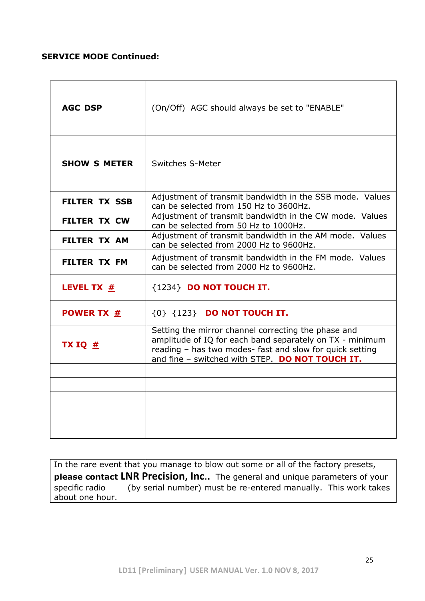#### **SERVICE MODE Continued:**

| <b>AGC DSP</b>                 | (On/Off) AGC should always be set to "ENABLE"                                                                                                                                                                                  |
|--------------------------------|--------------------------------------------------------------------------------------------------------------------------------------------------------------------------------------------------------------------------------|
| <b>SHOW S METER</b>            | <b>Switches S-Meter</b>                                                                                                                                                                                                        |
| <b>FILTER TX SSB</b>           | Adjustment of transmit bandwidth in the SSB mode. Values<br>can be selected from 150 Hz to 3600Hz.                                                                                                                             |
| <b>FILTER TX CW</b>            | Adjustment of transmit bandwidth in the CW mode. Values<br>can be selected from 50 Hz to 1000Hz.                                                                                                                               |
| <b>FILTER TX AM</b>            | Adjustment of transmit bandwidth in the AM mode. Values<br>can be selected from 2000 Hz to 9600Hz.                                                                                                                             |
| <b>FILTER TX FM</b>            | Adjustment of transmit bandwidth in the FM mode. Values<br>can be selected from 2000 Hz to 9600Hz.                                                                                                                             |
| <b>LEVEL TX <math>#</math></b> | {1234} DO NOT TOUCH IT.                                                                                                                                                                                                        |
| <b>POWER TX #</b>              | $\{0\}$ $\{123\}$ DO NOT TOUCH IT.                                                                                                                                                                                             |
| TX IQ $#$                      | Setting the mirror channel correcting the phase and<br>amplitude of IQ for each band separately on TX - minimum<br>reading - has two modes- fast and slow for quick setting<br>and fine - switched with STEP. DO NOT TOUCH IT. |
|                                |                                                                                                                                                                                                                                |
|                                |                                                                                                                                                                                                                                |
|                                |                                                                                                                                                                                                                                |

In the rare event that you manage to blow out some or all of the factory presets, **please contact LNR Precision, Inc**.**.** The general and unique parameters of your specific radio (by serial number) must be re-entered manually. This work takes about one hour.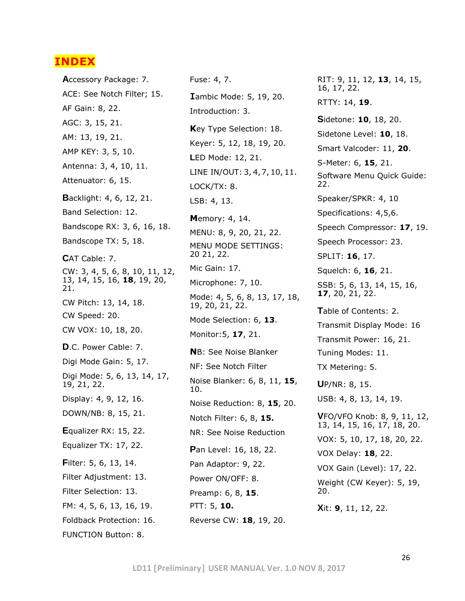### **INDEX**

**A**ccessory Package: 7. ACE: See Notch Filter; 15. AF Gain: 8, 22. AGC: 3, 15, 21. AM: 13, 19, 21. AMP KEY: 3, 5, 10. Antenna: 3, 4, 10, 11. Attenuator: 6, 15. **B**acklight: 4, 6, 12, 21. Band Selection: 12. Bandscope RX: 3, 6, 16, 18. Bandscope TX: 5, 18. **C**AT Cable: 7. CW: 3, 4, 5, 6, 8, 10, 11, 12, 13, 14, 15, 16, **18**, 19, 20, 21. CW Pitch: 13, 14, 18. CW Speed: 20. CW VOX: 10, 18, 20. **D**.C. Power Cable: 7. Digi Mode Gain: 5, 17. Digi Mode: 5, 6, 13, 14, 17, 19, 21, 22. Display: 4, 9, 12, 16. DOWN/NB: 8, 15, 21. **E**qualizer RX: 15, 22. Equalizer TX: 17, 22. **F**ilter: 5, 6, 13, 14. Filter Adjustment: 13. Filter Selection: 13. FM: 4, 5, 6, 13, 16, 19. Foldback Protection: 16. FUNCTION Button: 8.

Fuse: 4, 7. **I**ambic Mode: 5, 19, 20. Introduction: 3. **K**ey Type Selection: 18. Keyer: 5, 12, 18, 19, 20. **L**ED Mode: 12, 21. LINE IN/OUT: 3, 4,7, 10, 11. LOCK/TX: 8. LSB: 4, 13. **M**emory: 4, 14. MENU: 8, 9, 20, 21, 22. MENU MODE SETTINGS: 20 21, 22. Mic Gain: 17. Microphone: 7, 10. Mode: 4, 5, 6, 8, 13, 17, 18, 19, 20, 21, 22. Mode Selection: 6, **13**. Monitor:5, **17**, 21. **N**B: See Noise Blanker NF: See Notch Filter Noise Blanker: 6, 8, 11, **15**, 10. Noise Reduction: 8, **15**, 20. Notch Filter: 6, 8, **15.** NR: See Noise Reduction **P**an Level: 16, 18, 22. Pan Adaptor: 9, 22. Power ON/OFF: 8. Preamp: 6, 8, **15**. PTT: 5, **10.** Reverse CW: **18**, 19, 20.

RIT: 9, 11, 12, **13**, 14, 15, 16, 17, 22. RTTY: 14, **19**. **S**idetone: **10**, 18, 20. Sidetone Level: **10**, 18. Smart Valcoder: 11, **20**. S-Meter: 6, **15**, 21. Software Menu Quick Guide: 22. Speaker/SPKR: 4, 10 Specifications: 4,5,6. Speech Compressor: **17**, 19. Speech Processor: 23. SPLIT: **16**, 17. Squelch: 6, **16**, 21. SSB: 5, 6, 13, 14, 15, 16, **17**, 20, 21, 22. **T**able of Contents: 2. Transmit Display Mode: 16 Transmit Power: 16, 21. Tuning Modes: 11. TX Metering: 5. **U**P/NR: 8, 15. USB: 4, 8, 13, 14, 19. **V**FO/VFO Knob: 8, 9, 11, 12, 13, 14, 15, 16, 17, 18, 20. VOX: 5, 10, 17, 18, 20, 22. VOX Delay: **18**, 22. VOX Gain (Level): 17, 22. Weight (CW Keyer): 5, 19, 20. **X**it: **9**, 11, 12, 22.